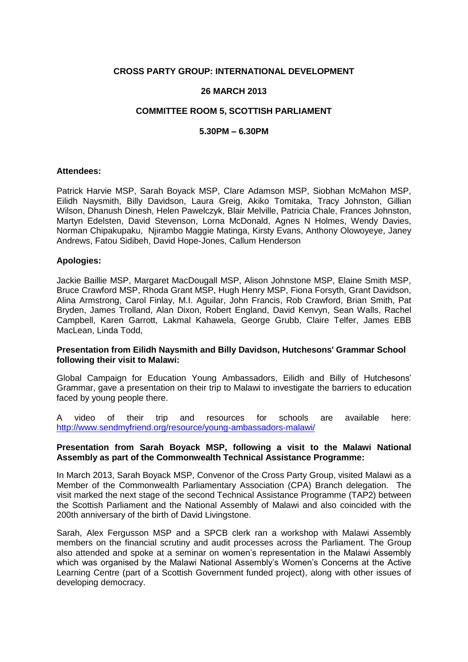# **CROSS PARTY GROUP: INTERNATIONAL DEVELOPMENT**

# **26 MARCH 2013**

# **COMMITTEE ROOM 5, SCOTTISH PARLIAMENT**

## **5.30PM – 6.30PM**

#### **Attendees:**

Patrick Harvie MSP, Sarah Boyack MSP, Clare Adamson MSP, Siobhan McMahon MSP, Eilidh Naysmith, Billy Davidson, Laura Greig, Akiko Tomitaka, Tracy Johnston, Gillian Wilson, Dhanush Dinesh, Helen Pawelczyk, Blair Melville, Patricia Chale, Frances Johnston, Martyn Edelsten, David Stevenson, Lorna McDonald, Agnes N Holmes, Wendy Davies, Norman Chipakupaku, Njirambo Maggie Matinga, Kirsty Evans, Anthony Olowoyeye, Janey Andrews, Fatou Sidibeh, David Hope-Jones, Callum Henderson

## **Apologies:**

Jackie Baillie MSP, Margaret MacDougall MSP, Alison Johnstone MSP, Elaine Smith MSP, Bruce Crawford MSP, Rhoda Grant MSP, Hugh Henry MSP, Fiona Forsyth, Grant Davidson, Alina Armstrong, Carol Finlay, M.I. Aguilar, John Francis, Rob Crawford, Brian Smith, Pat Bryden, James Trolland, Alan Dixon, Robert England, David Kenvyn, Sean Walls, Rachel Campbell, Karen Garrott, Lakmal Kahawela, George Grubb, Claire Telfer, James EBB MacLean, Linda Todd,

## **Presentation from Eilidh Naysmith and Billy Davidson, Hutchesons' Grammar School following their visit to Malawi:**

Global Campaign for Education Young Ambassadors, Eilidh and Billy of Hutchesons' Grammar, gave a presentation on their trip to Malawi to investigate the barriers to education faced by young people there.

A video of their trip and resources for schools are available here: <http://www.sendmyfriend.org/resource/young-ambassadors-malawi/>

## **Presentation from Sarah Boyack MSP, following a visit to the Malawi National Assembly as part of the Commonwealth Technical Assistance Programme:**

In March 2013, Sarah Boyack MSP, Convenor of the Cross Party Group, visited Malawi as a Member of the Commonwealth Parliamentary Association (CPA) Branch delegation. The visit marked the next stage of the second Technical Assistance Programme (TAP2) between the Scottish Parliament and the National Assembly of Malawi and also coincided with the 200th anniversary of the birth of David Livingstone.

Sarah, Alex Fergusson MSP and a SPCB clerk ran a workshop with Malawi Assembly members on the financial scrutiny and audit processes across the Parliament. The Group also attended and spoke at a seminar on women's representation in the Malawi Assembly which was organised by the Malawi National Assembly's Women's Concerns at the Active Learning Centre (part of a Scottish Government funded project), along with other issues of developing democracy.